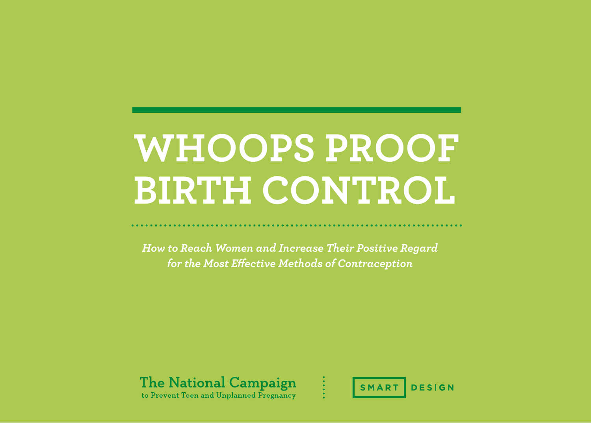# **WHOOPS PROOF BIRTH CONTROL**

*How to Reach Women and Increase Their Positive Regard* for the Most Effective Methods of Contraception



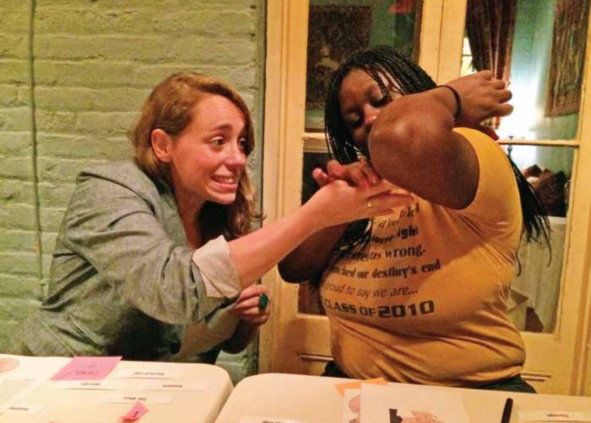or ight **Defe trs wrong.** *<i><u>Sched our destiny's*</u> end. *Cud to say we are...*<br>Lags of **2010** 

amst umbekleg

**COMMA**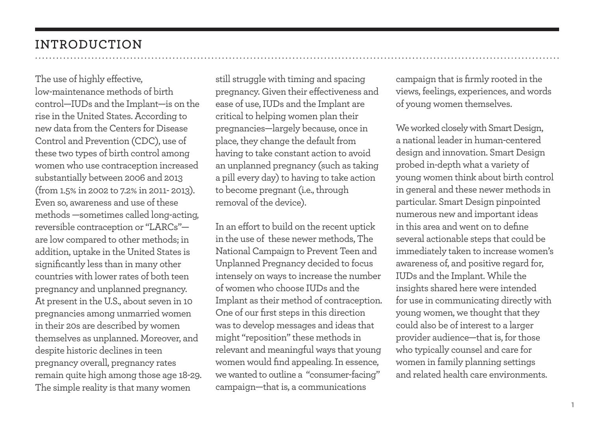# **INTRODUCTION**

The use of highly effective, low-maintenance methods of birth control—IUDs and the Implant—is on the rise in the United States. According to new data from the Centers for Disease Control and Prevention (CDC), use of these two types of birth control among women who use contraception increased substantially between 2006 and 2013 (from 1.5% in 2002 to 7.2% in 2011- 2013). Even so, awareness and use of these methods —sometimes called long-acting, reversible contraception or "LARCs" are low compared to other methods; in addition, uptake in the United States is significantly less than in many other countries with lower rates of both teen pregnancy and unplanned pregnancy. At present in the U.S., about seven in 10 pregnancies among unmarried women in their 20s are described by women themselves as unplanned. Moreover, and despite historic declines in teen pregnancy overall, pregnancy rates remain quite high among those age 18-29. The simple reality is that many women

still struggle with timing and spacing pregnancy. Given their effectiveness and ease of use, IUDs and the Implant are critical to helping women plan their pregnancies—largely because, once in place, they change the default from having to take constant action to avoid an unplanned pregnancy (such as taking a pill every day) to having to take action to become pregnant (i.e., through removal of the device).

In an effort to build on the recent uptick in the use of these newer methods, The National Campaign to Prevent Teen and Unplanned Pregnancy decided to focus intensely on ways to increase the number of women who choose IUDs and the Implant as their method of contraception. One of our first steps in this direction was to develop messages and ideas that might "reposition" these methods in relevant and meaningful ways that young women would find appealing. In essence, we wanted to outline a "consumer-facing" campaign—that is, a communications

campaign that is firmly rooted in the views, feelings, experiences, and words of young women themselves.

We worked closely with Smart Design, a national leader in human-centered design and innovation. Smart Design probed in-depth what a variety of young women think about birth control in general and these newer methods in particular. Smart Design pinpointed numerous new and important ideas in this area and went on to define several actionable steps that could be immediately taken to increase women's awareness of, and positive regard for, IUDs and the Implant. While the insights shared here were intended for use in communicating directly with young women, we thought that they could also be of interest to a larger provider audience—that is, for those who typically counsel and care for women in family planning settings and related health care environments.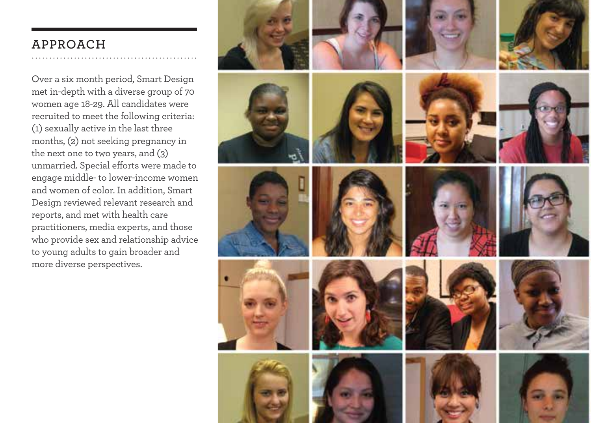# **APPROACH**

Over a six month period, Smart Design met in-depth with a diverse group of 70 women age 18-29. All candidates were recruited to meet the following criteria: (1) sexually active in the last three months, (2) not seeking pregnancy in the next one to two years, and (3) unmarried. Special efforts were made to engage middle- to lower-income women and women of color. In addition, Smart Design reviewed relevant research and reports, and met with health care practitioners, media experts, and those who provide sex and relationship advice to young adults to gain broader and more diverse perspectives.

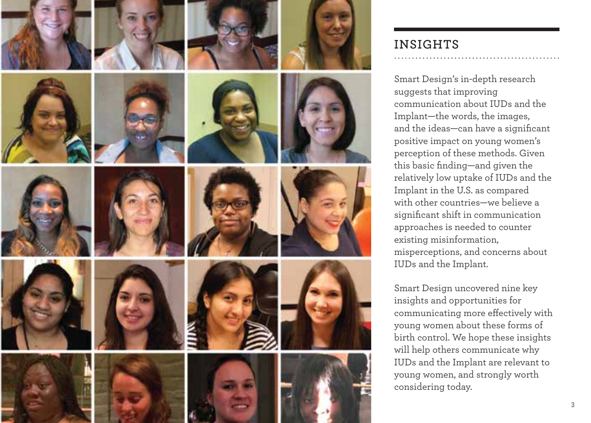

# **INSIGHTS**

Smart Design's in-depth research suggests that improving communication about IUDs and the Implant—the words, the images, and the ideas—can have a significant positive impact on young women's perception of these methods. Given this basic finding—and given the relatively low uptake of IUDs and the Implant in the U.S. as compared with other countries—we believe a significant shift in communication approaches is needed to counter existing misinformation, misperceptions, and concerns about IUDs and the Implant.

Smart Design uncovered nine key insights and opportunities for communicating more effectively with young women about these forms of birth control. We hope these insights will help others communicate why IUDs and the Implant are relevant to young women, and strongly worth considering today.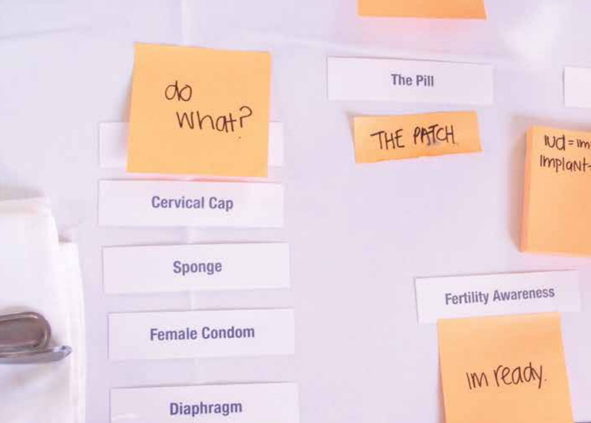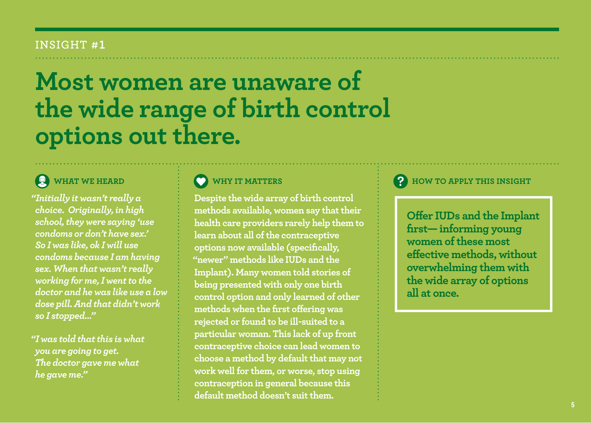# **Most women are unaware of the wide range of birth control options out there.**

# $\bullet$

*"Initially it wasn't really a choice. Originally, in high school, they were saying 'use condoms or don't have sex.' So I was like, ok I will use condoms because I am having sex. When that wasn't really working for me, I went to the doctor and he was like use a low dose pill. And that didn't work so I stopped..."*

*"I was told that this is what you are going to get. The doctor gave me what he gave me."*

**Despite the wide array of birth control methods available, women say that their health care providers rarely help them to learn about all of the contraceptive options now available (specifically, "newer" methods like IUDs and the Implant). Many women told stories of being presented with only one birth control option and only learned of other**  methods when the first offering was **rejected or found to be ill-suited to a particular woman. This lack of up front contraceptive choice can lead women to choose a method by default that may not work well for them, or worse, stop using contraception in general because this default method doesn't suit them.**

## **WHAT WE HEARD CONSIDERED <b>CONSIDERED CONSIDERED CONSIDERED CONSIDERED CONSIDERED CONSIDERED CONSIDERED**

**Offer IUDs and the Implant first— informing young women of these most effective methods, without overwhelming them with the wide array of options all at once.**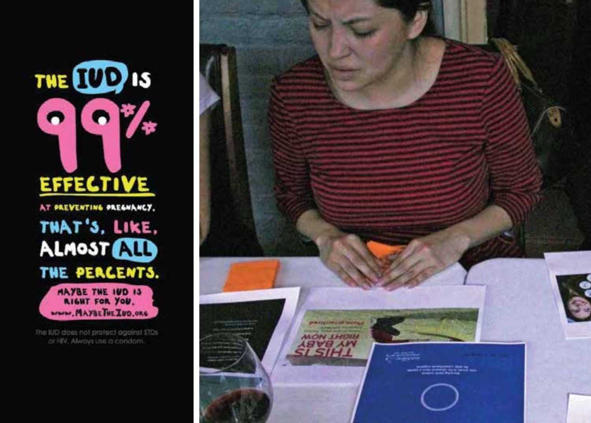# THE **WID** IS  $\bullet$ EFFECTIVE

# AT PREVENTING PREGNANCY. THAT'S, LIKE, ALMOST ALD THE PERCENTS.

MAYBE THE IUD IS RIGHT FOR YOU. WWW.MAYBETHEIUD.ORG

The IVO does not protect against STDs or HIV, Always use o condom.

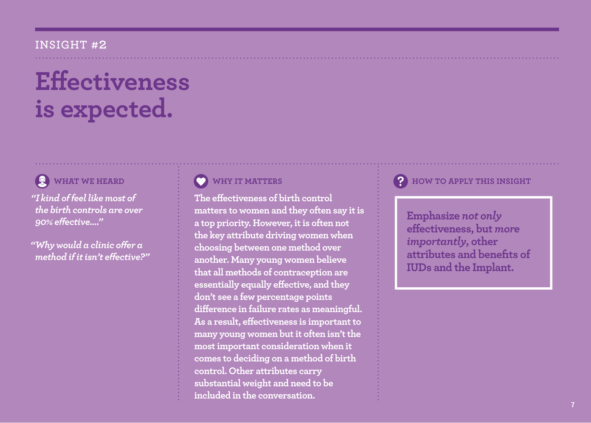# **Effectiveness is expected.**

*"I kind of feel like most of the birth controls are over*  90% effective...."

*"Why would a clinic offer a* method if it isn't effective<sup>?"</sup>

**The effectiveness of birth control matters to women and they often say it is a top priority. However, it is often not the key attribute driving women when choosing between one method over another. Many young women believe that all methods of contraception are**  essentially equally effective, and they **don't see a few percentage points**  difference in failure rates as meaningful. As a result, effectiveness is important to **many young women but it often isn't the most important consideration when it comes to deciding on a method of birth control. Other attributes carry substantial weight and need to be included in the conversation.**

## **WHAT WE HEARD WHY IT MATTERS HOW TO APPLY THIS INSIGHT**

**Emphasize** *not only*  **effectiveness, but** more *importantly***, other attributes and benefits of IUDs and the Implant.**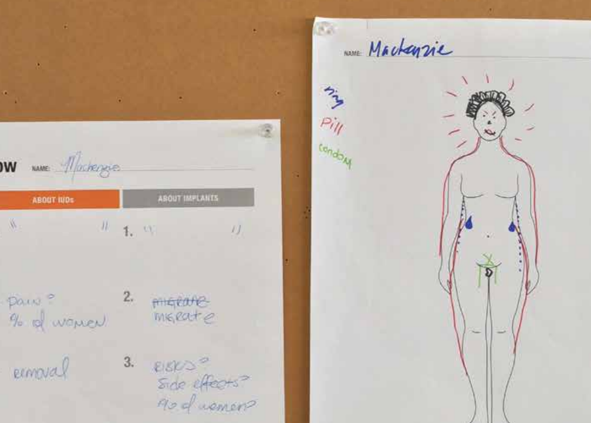

**COL** mum Mackeysie **Mill**  $\epsilon_{\eta d_0}$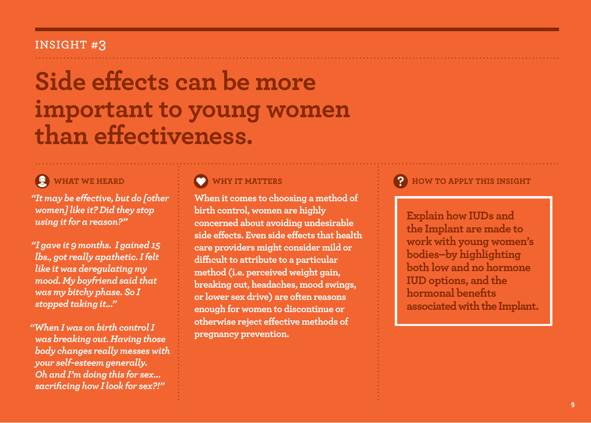# **Side effects can be more important to young women than effectiveness.**

# $\mathbf{Q}$

*"It may be effective, but do [other women] like it? Did they stop using it for a reason?"*

*"I gave it 9 months. I gained 15 lbs., got really apathetic. I felt like it was deregulating my mood. My boyfriend said that was my bitchy phase. So I stopped taking it..."*

*"When I was on birth control I was breaking out. Having those body changes really messes with your self-esteem generally. Oh and I'm doing this for sex... sacrificing how I look for sex?!"*

**When it comes to choosing a method of birth control, women are highly concerned about avoiding undesirable**  side effects. Even side effects that health **care providers might consider mild or**  difficult to attribute to a particular **method (i.e. perceived weight gain, breaking out, headaches, mood swings, or lower sex drive) are often reasons enough for women to discontinue or otherwise reject effective methods of pregnancy prevention.**

## **WHAT WE HEARD WHY IT MATTERS HOW TO APPLY THIS INSIGHT**

**Explain how IUDs and the Implant are made to work with young women's bodies–by highlighting both low and no hormone IUD options, and the hormonal benefits associated with the Implant.**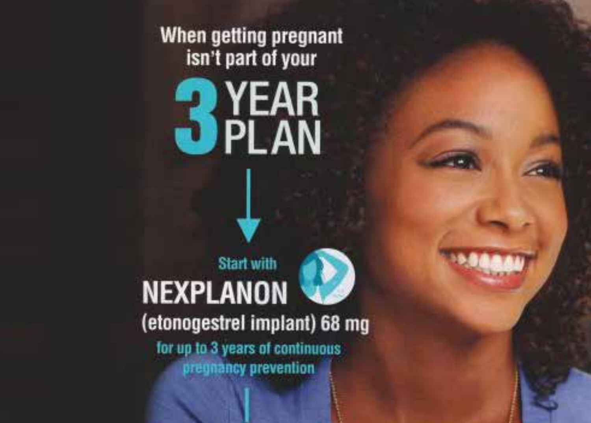When getting pregnant isn't part of your

# **BYEAR**

# **Start with NEXPLANON** (etonogestrel implant) 68 mg for up to 3 years of continuous pregnancy prevention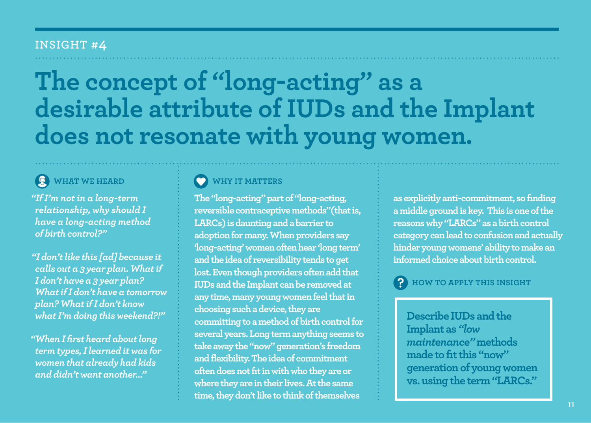# **The concept of "long-acting" as a desirable attribute of IUDs and the Implant does not resonate with young women.**

# $\mathbf{R}$

*"If I'm not in a long-term relationship, why should I have a long-acting method of birth control?"*

*"I don't like this [ad] because it calls out a 3 year plan. What if I don't have a 3 year plan? What if I don't have a tomorrow plan? What if I don't know what I'm doing this weekend?!"*

*"When I first heard about long term types, I learned it was for women that already had kids and didn't want another…"*

# **WHAT WE HEARD WHY IT MATTERS**

**The "long-acting" part of "long-acting, reversible contraceptive methods"(that is, LARCs) is daunting and a barrier to adoption for many. When providers say 'long-acting' women often hear 'long term' and the idea of reversibility tends to get lost. Even though providers often add that IUDs and the Implant can be removed at any time, many young women feel that in choosing such a device, they are committing to a method of birth control for several years. Long term anything seems to take away the "now" generation's freedom and flexibility. The idea of commitment often does not fit in with who they are or where they are in their lives. At the same time, they don't like to think of themselves** 

**as explicitly anti-commitment, so finding a middle ground is key. This is one of the reasons why "LARCs" as a birth control category can lead to confusion and actually hinder young womens' ability to make an informed choice about birth control.**

# **HOW TO APPLY THIS INSIGHT**

**Describe IUDs and the Implant as** *"low maintenance"* **methods made to fit this "now" generation of young women vs. using the term "LARCs."**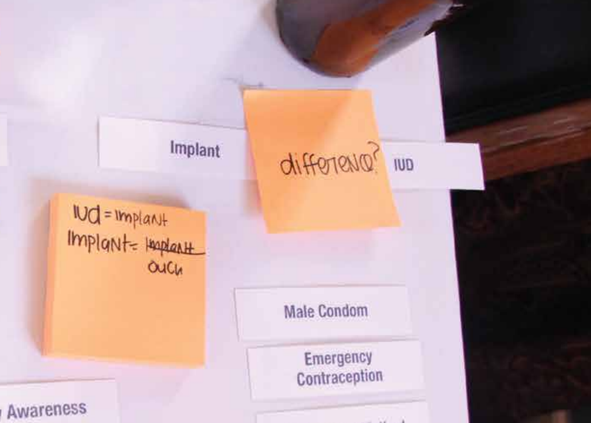# Implant

 $10d = 10$ <br> $10d = 100$ <br> $10d = 100$ 

**Male Condom** 

**Emergency** Contraception

**COLLEGE** 

difference? IND

Awareness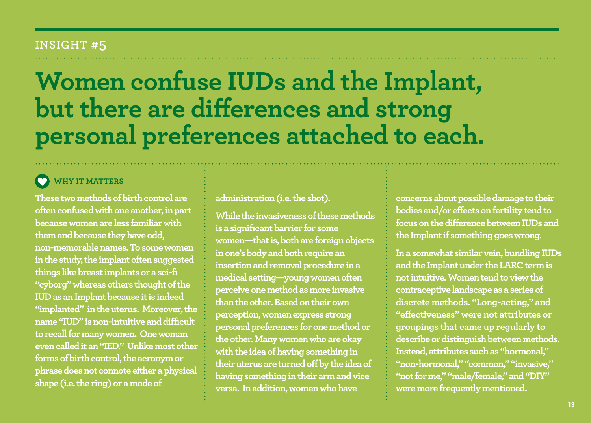# **Women confuse IUDs and the Implant,**  but there are differences and strong **personal preferences attached to each.**

# **WHY IT MATTERS**

**These two methods of birth control are often confused with one another, in part because women are less familiar with them and because they have odd, non-memorable names. To some women in the study, the implant often suggested things like breast implants or a sci-fi "cyborg" whereas others thought of the IUD as an Implant because it is indeed "implanted" in the uterus. Moreover, the**   $name 'IUD'$  is non-intuitive and difficult **to recall for many women. One woman even called it an "IED." Unlike most other forms of birth control, the acronym or phrase does not connote either a physical shape (i.e. the ring) or a mode of** 

## **administration (i.e. the shot).**

**While the invasiveness of these methods is a significant barrier for some women—that is, both are foreign objects in one's body and both require an insertion and removal procedure in a medical setting—young women often perceive one method as more invasive than the other. Based on their own perception, women express strong personal preferences for one method or the other. Many women who are okay with the idea of having something in**  their uterus are turned off by the idea of **having something in their arm and vice versa. In addition, women who have** 

**concerns about possible damage to their bodies and/or effects on fertility tend to** focus on the difference between **IUDs** and **the Implant if something goes wrong.**

**In a somewhat similar vein, bundling IUDs and the Implant under the LARC term is not intuitive. Women tend to view the contraceptive landscape as a series of discrete methods. "Long-acting," and "effectiveness" were not attributes or groupings that came up regularly to describe or distinguish between methods. Instead, attributes such as "hormonal," "non-hormonal," "common," "invasive," "not for me," "male/female," and "DIY" were more frequently mentioned.**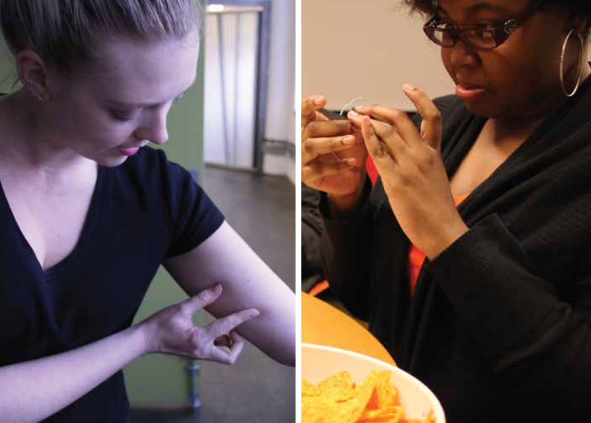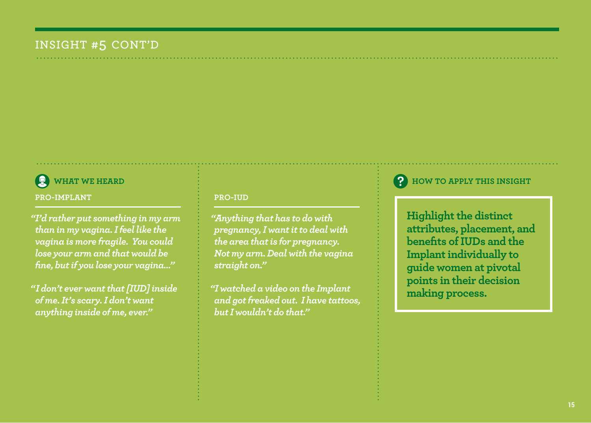# **INSIGHT #5 CONT'D**

# 便 **PRO-IMPLANT**

*"I'd rather put something in my arm than in my vagina. I feel like the vagina is more fragile. You could lose your arm and that would be fine, but if you lose your vagina…"*

*"I don't ever want that [IUD] inside of me. It's scary. I don't want anything inside of me, ever."*

## **PRO-IUD**

*"Anything that has to do with pregnancy, I want it to deal with the area that is for pregnancy. Not my arm. Deal with the vagina straight on."*

*"I watched a video on the Implant and got freaked out. I have tattoos, but I wouldn't do that."*

## **WHAT WE HEARD HOW TO APPLY THIS INSIGHT**

**Highlight the distinct attributes, placement, and benefits of IUDs and the Implant individually to guide women at pivotal points in their decision making process.**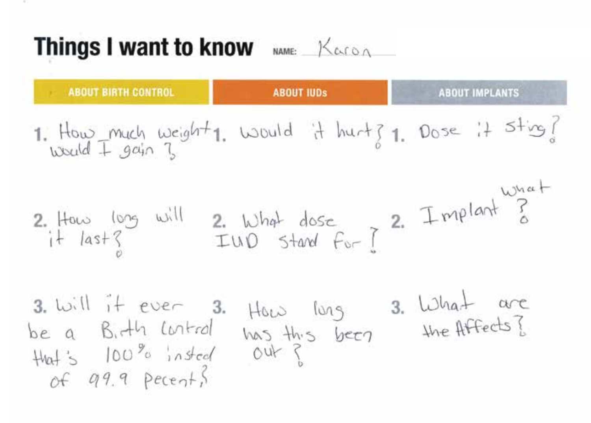# **Things I want to know** wave: Keron

**ABOUT BIRTH CONTROL ABOUT IUDS ABOUT IMPLANTS** 1. How much weight1. Would it hurt  $31.$  Dose it sting? 2. How long will 2. What dose  $1 + 1$  mplant  $2 + 1$ <br>it last  $2 + 1$ <br> $1 + 1$ 

How long 3. What are<br>has this been the Affects?  $3.$  Will it ever  $3.$ be a Bith Lontrol  $047$  ?  $H + 3$   $100\%$  instead of  $99.9$  Pecent ?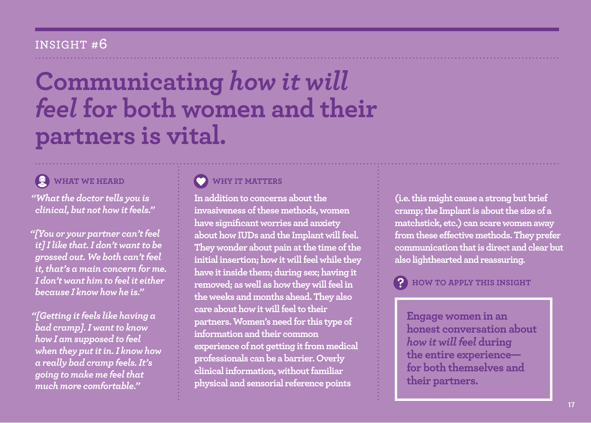# **Communicating** *how it will feel* **for both women and their partners is vital.**

*"What the doctor tells you is clinical, but not how it feels."* 

*"[You or your partner can't feel it] I like that. I don't want to be grossed out. We both can't feel it, that's a main concern for me. I don't want him to feel it either because I know how he is."*

*"[Getting it feels like having a bad cramp]. I want to know how I am supposed to feel when they put it in. I know how a really bad cramp feels. It's going to make me feel that much more comfortable."*

# **WHAT WE HEARD WHY IT MATTERS**

**In addition to concerns about the invasiveness of these methods, women have significant worries and anxiety about how IUDs and the Implant will feel. They wonder about pain at the time of the initial insertion; how it will feel while they have it inside them; during sex; having it removed; as well as how they will feel in the weeks and months ahead. They also care about how it will feel to their partners. Women's need for this type of information and their common experience of not getting it from medical professionals can be a barrier. Overly clinical information, without familiar physical and sensorial reference points**

**(i.e. this might cause a strong but brief cramp; the Implant is about the size of a matchstick, etc.) can scare women away**  from these effective methods. They prefer **communication that is direct and clear but also lighthearted and reassuring.** 

# **HOW TO APPLY THIS INSIGHT**

**Engage women in an honest conversation about**  *how it will feel* **during the entire experience for both themselves and their partners.**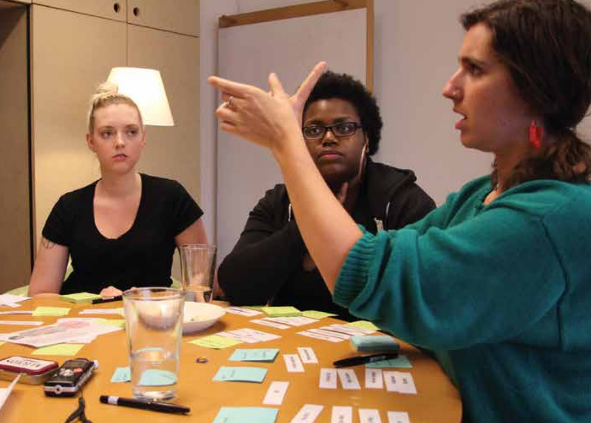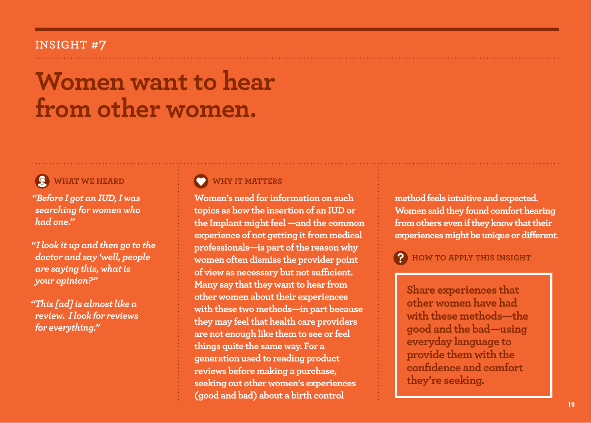# **Women want to hear from other women.**

*"Before I got an IUD, I was searching for women who had one."* 

*"I look it up and then go to the doctor and say 'well, people are saying this, what is your opinion?"*

*"This [ad] is almost like a review. I look for reviews for everything."* 

## **WHAT WE HEARD WHY IT MATTERS**

**Women's need for information on such topics as how the insertion of an IUD or the Implant might feel —and the common experience of not getting it from medical professionals—is part of the reason why women often dismiss the provider point**  of view as necessary but not sufficient. **Many say that they want to hear from other women about their experiences with these two methods—in part because they may feel that health care providers are not enough like them to see or feel things quite the same way. For a generation used to reading product reviews before making a purchase, seeking out other women's experiences (good and bad) about a birth control** 

**method feels intuitive and expected. Women said they found comfort hearing from others even if they know that their**  experiences might be unique or different.

## **HOW TO APPLY THIS INSIGHT**

**Share experiences that other women have had with these methods—the good and the bad—using everyday language to provide them with the confidence and comfort they're seeking.**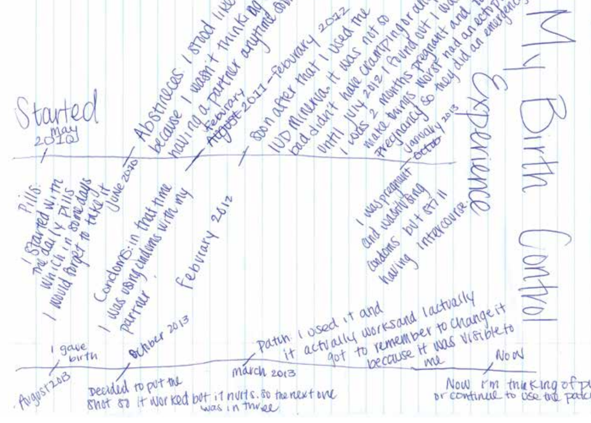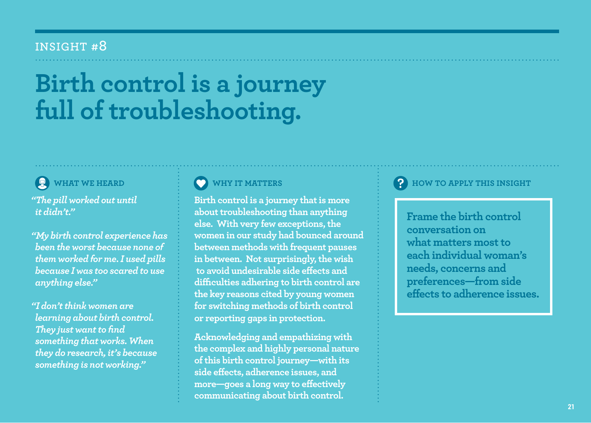# **Birth control is a journey full of troubleshooting.**

## *"The pill worked out until it didn't."*

*"My birth control experience has been the worst because none of them worked for me. I used pills because I was too scared to use anything else."* 

*"I don't think women are learning about birth control. They just want to find something that works. When they do research, it's because something is not working."* 

## **WHAT WE HEARD WHY IT MATTERS**

**Birth control is a journey that is more about troubleshooting than anything else. With very few exceptions, the women in our study had bounced around between methods with frequent pauses in between. Not surprisingly, the wish** to avoid undesirable side effects and difficulties adhering to birth control are **the key reasons cited by young women for switching methods of birth control or reporting gaps in protection.**

**Acknowledging and empathizing with the complex and highly personal nature of this birth control journey—with its**  side effects, adherence issues, and more-goes a long way to effectively **communicating about birth control.** 

## **HOW TO APPLY THIS INSIGHT**

**Frame the birth control conversation on what matters most to each individual woman's needs, concerns and preferences—from side effects to adherence issues.**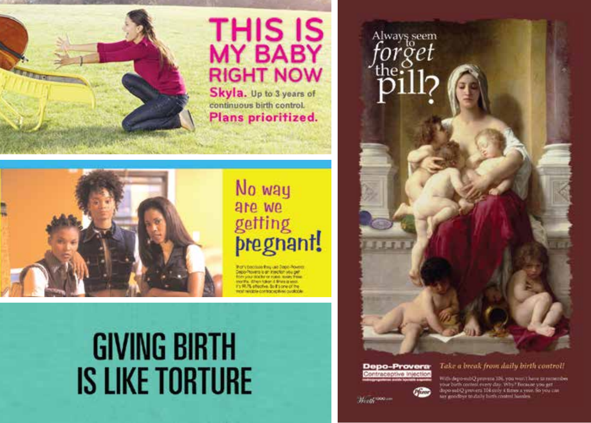

# No way are we getting pregnant!

Por utilisable Request Date Rovers Depo-Provero is an intection you get months. When folkers & Bruns is vestirs 90.75 shorter, to it some of the most nevadile contractepaves ou obcole

# **GIVING BIRTH IS LIKE TORTURE**



## **Depo-Provera**

ontraceptive Injection

## Take a break from daily birth controll

your buth control every day. Why? Because you get dopo sad Q putvera 104 cm/y a times a vear. So you can<br>sav goodbase to clark horts control handes.







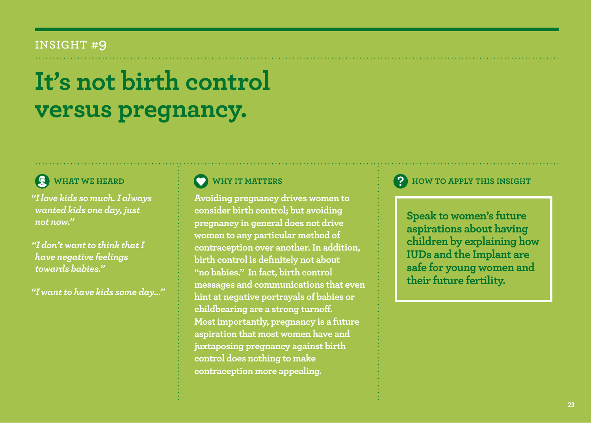# **It's not birth control versus pregnancy.**

# $\bullet$

*"I love kids so much. I always wanted kids one day, just not now."*

*"I don't want to think that I have negative feelings towards babies."*

*"I want to have kids some day…"*

**Avoiding pregnancy drives women to consider birth control; but avoiding pregnancy in general does not drive women to any particular method of contraception over another. In addition, birth control is definitely not about "no babies." In fact, birth control messages and communications that even hint at negative portrayals of babies or**  childbearing are a strong turnoff. **Most importantly, pregnancy is a future aspiration that most women have and juxtaposing pregnancy against birth control does nothing to make contraception more appealing.**

## **WHAT WE HEARD WHY IT MATTERS HOW TO APPLY THIS INSIGHT**

**Speak to women's future aspirations about having children by explaining how IUDs and the Implant are safe for young women and their future fertility.**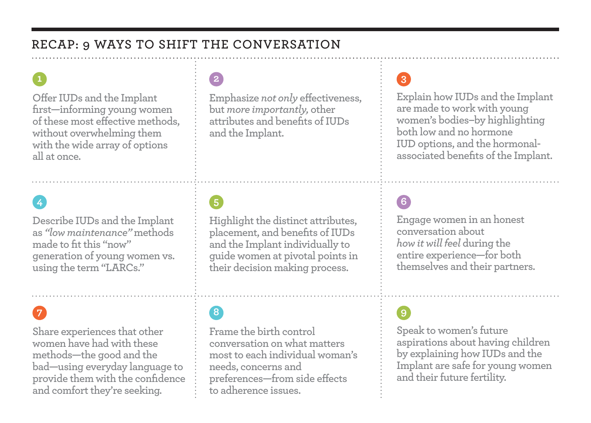# **RECAP: 9 WAYS TO SHIFT THE CONVERSATION**

**Offer IUDs and the Implant first—informing young women**  of these most effective methods. **without overwhelming them with the wide array of options all at once.** 

# **4**

**Describe IUDs and the Implant as** *"low maintenance"* **methods made to fit this "now" generation of young women vs. using the term "LARCs."** 

# **7**

**Share experiences that other women have had with these methods—the good and the bad—using everyday language to provide them with the confidence and comfort they're seeking.** 

# **2**

**Emphasize** *not only* effectiveness, **but** *more importantly,* **other attributes and benefits of IUDs and the Implant.**

**Highlight the distinct attributes, placement, and benefits of IUDs and the Implant individually to guide women at pivotal points in their decision making process.** 

# **8**

**Frame the birth control conversation on what matters most to each individual woman's needs, concerns and preferences—from side effects to adherence issues.**

# **3**

**Explain how IUDs and the Implant are made to work with young women's bodies–by highlighting both low and no hormone IUD options, and the hormonalassociated benefits of the Implant.** 

**Engage women in an honest conversation about**  *how it will feel* **during the entire experience—for both themselves and their partners.**

**Speak to women's future aspirations about having children by explaining how IUDs and the Implant are safe for young women and their future fertility.**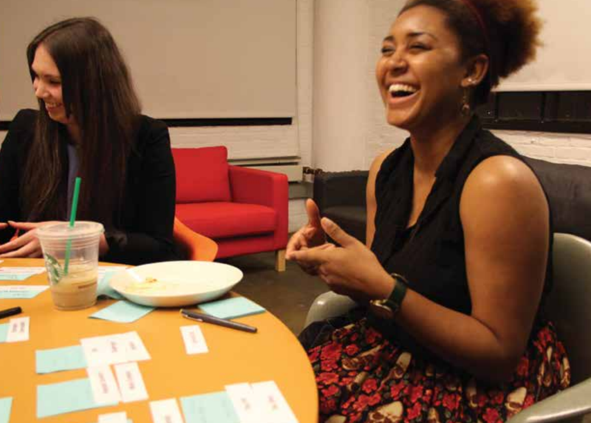